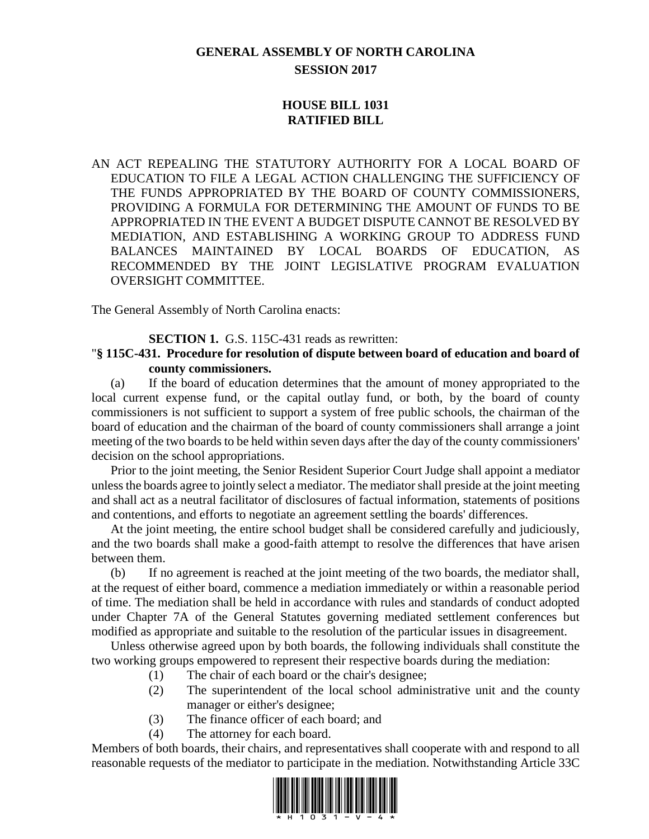## **GENERAL ASSEMBLY OF NORTH CAROLINA SESSION 2017**

## **HOUSE BILL 1031 RATIFIED BILL**

AN ACT REPEALING THE STATUTORY AUTHORITY FOR A LOCAL BOARD OF EDUCATION TO FILE A LEGAL ACTION CHALLENGING THE SUFFICIENCY OF THE FUNDS APPROPRIATED BY THE BOARD OF COUNTY COMMISSIONERS, PROVIDING A FORMULA FOR DETERMINING THE AMOUNT OF FUNDS TO BE APPROPRIATED IN THE EVENT A BUDGET DISPUTE CANNOT BE RESOLVED BY MEDIATION, AND ESTABLISHING A WORKING GROUP TO ADDRESS FUND BALANCES MAINTAINED BY LOCAL BOARDS OF EDUCATION, AS RECOMMENDED BY THE JOINT LEGISLATIVE PROGRAM EVALUATION OVERSIGHT COMMITTEE.

The General Assembly of North Carolina enacts:

**SECTION 1.** G.S. 115C-431 reads as rewritten:

## "**§ 115C-431. Procedure for resolution of dispute between board of education and board of county commissioners.**

(a) If the board of education determines that the amount of money appropriated to the local current expense fund, or the capital outlay fund, or both, by the board of county commissioners is not sufficient to support a system of free public schools, the chairman of the board of education and the chairman of the board of county commissioners shall arrange a joint meeting of the two boards to be held within seven days after the day of the county commissioners' decision on the school appropriations.

Prior to the joint meeting, the Senior Resident Superior Court Judge shall appoint a mediator unless the boards agree to jointly select a mediator. The mediator shall preside at the joint meeting and shall act as a neutral facilitator of disclosures of factual information, statements of positions and contentions, and efforts to negotiate an agreement settling the boards' differences.

At the joint meeting, the entire school budget shall be considered carefully and judiciously, and the two boards shall make a good-faith attempt to resolve the differences that have arisen between them.

(b) If no agreement is reached at the joint meeting of the two boards, the mediator shall, at the request of either board, commence a mediation immediately or within a reasonable period of time. The mediation shall be held in accordance with rules and standards of conduct adopted under Chapter 7A of the General Statutes governing mediated settlement conferences but modified as appropriate and suitable to the resolution of the particular issues in disagreement.

Unless otherwise agreed upon by both boards, the following individuals shall constitute the two working groups empowered to represent their respective boards during the mediation:

- (1) The chair of each board or the chair's designee;
- (2) The superintendent of the local school administrative unit and the county manager or either's designee;
- (3) The finance officer of each board; and
- (4) The attorney for each board.

Members of both boards, their chairs, and representatives shall cooperate with and respond to all reasonable requests of the mediator to participate in the mediation. Notwithstanding Article 33C

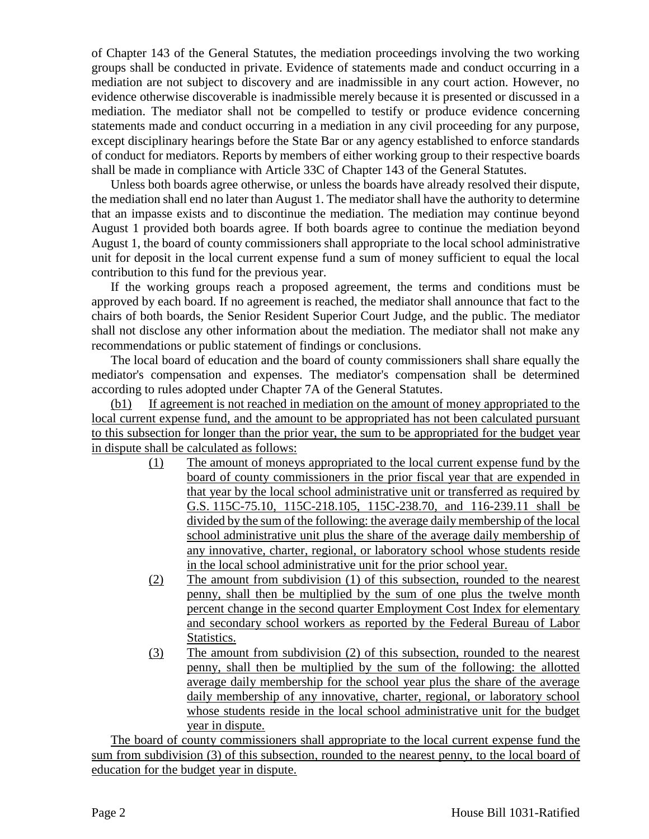of Chapter 143 of the General Statutes, the mediation proceedings involving the two working groups shall be conducted in private. Evidence of statements made and conduct occurring in a mediation are not subject to discovery and are inadmissible in any court action. However, no evidence otherwise discoverable is inadmissible merely because it is presented or discussed in a mediation. The mediator shall not be compelled to testify or produce evidence concerning statements made and conduct occurring in a mediation in any civil proceeding for any purpose, except disciplinary hearings before the State Bar or any agency established to enforce standards of conduct for mediators. Reports by members of either working group to their respective boards shall be made in compliance with Article 33C of Chapter 143 of the General Statutes.

Unless both boards agree otherwise, or unless the boards have already resolved their dispute, the mediation shall end no later than August 1. The mediator shall have the authority to determine that an impasse exists and to discontinue the mediation. The mediation may continue beyond August 1 provided both boards agree. If both boards agree to continue the mediation beyond August 1, the board of county commissioners shall appropriate to the local school administrative unit for deposit in the local current expense fund a sum of money sufficient to equal the local contribution to this fund for the previous year.

If the working groups reach a proposed agreement, the terms and conditions must be approved by each board. If no agreement is reached, the mediator shall announce that fact to the chairs of both boards, the Senior Resident Superior Court Judge, and the public. The mediator shall not disclose any other information about the mediation. The mediator shall not make any recommendations or public statement of findings or conclusions.

The local board of education and the board of county commissioners shall share equally the mediator's compensation and expenses. The mediator's compensation shall be determined according to rules adopted under Chapter 7A of the General Statutes.

(b1) If agreement is not reached in mediation on the amount of money appropriated to the local current expense fund, and the amount to be appropriated has not been calculated pursuant to this subsection for longer than the prior year, the sum to be appropriated for the budget year in dispute shall be calculated as follows:

- (1) The amount of moneys appropriated to the local current expense fund by the board of county commissioners in the prior fiscal year that are expended in that year by the local school administrative unit or transferred as required by G.S. 115C-75.10, 115C-218.105, 115C-238.70, and 116-239.11 shall be divided by the sum of the following: the average daily membership of the local school administrative unit plus the share of the average daily membership of any innovative, charter, regional, or laboratory school whose students reside in the local school administrative unit for the prior school year.
- (2) The amount from subdivision (1) of this subsection, rounded to the nearest penny, shall then be multiplied by the sum of one plus the twelve month percent change in the second quarter Employment Cost Index for elementary and secondary school workers as reported by the Federal Bureau of Labor Statistics.
- (3) The amount from subdivision (2) of this subsection, rounded to the nearest penny, shall then be multiplied by the sum of the following: the allotted average daily membership for the school year plus the share of the average daily membership of any innovative, charter, regional, or laboratory school whose students reside in the local school administrative unit for the budget year in dispute.

The board of county commissioners shall appropriate to the local current expense fund the sum from subdivision (3) of this subsection, rounded to the nearest penny, to the local board of education for the budget year in dispute.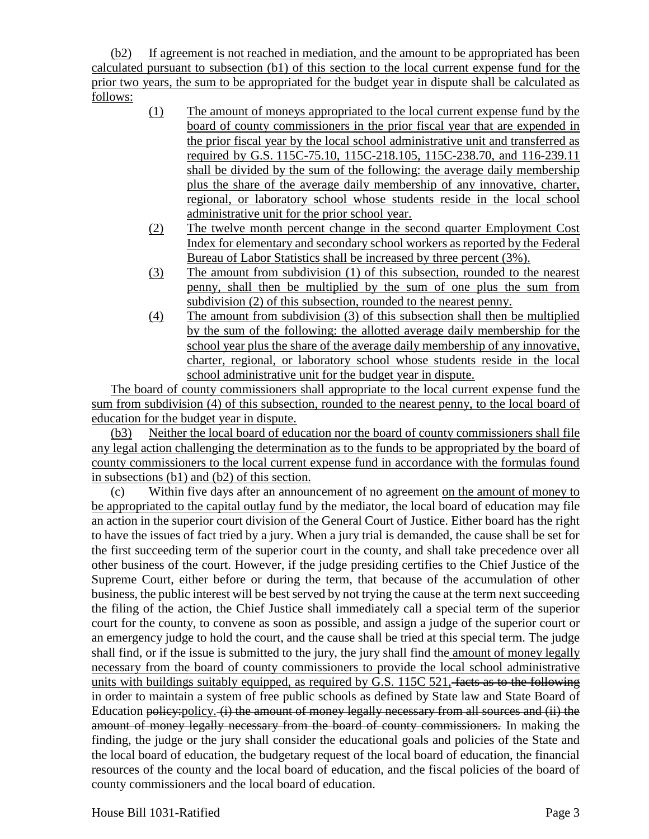(b2) If agreement is not reached in mediation, and the amount to be appropriated has been calculated pursuant to subsection (b1) of this section to the local current expense fund for the prior two years, the sum to be appropriated for the budget year in dispute shall be calculated as follows:

- (1) The amount of moneys appropriated to the local current expense fund by the board of county commissioners in the prior fiscal year that are expended in the prior fiscal year by the local school administrative unit and transferred as required by G.S. 115C-75.10, 115C-218.105, 115C-238.70, and 116-239.11 shall be divided by the sum of the following: the average daily membership plus the share of the average daily membership of any innovative, charter, regional, or laboratory school whose students reside in the local school administrative unit for the prior school year.
- (2) The twelve month percent change in the second quarter Employment Cost Index for elementary and secondary school workers as reported by the Federal Bureau of Labor Statistics shall be increased by three percent (3%).
- (3) The amount from subdivision (1) of this subsection, rounded to the nearest penny, shall then be multiplied by the sum of one plus the sum from subdivision (2) of this subsection, rounded to the nearest penny.
- (4) The amount from subdivision (3) of this subsection shall then be multiplied by the sum of the following: the allotted average daily membership for the school year plus the share of the average daily membership of any innovative, charter, regional, or laboratory school whose students reside in the local school administrative unit for the budget year in dispute.

The board of county commissioners shall appropriate to the local current expense fund the sum from subdivision (4) of this subsection, rounded to the nearest penny, to the local board of education for the budget year in dispute.

(b3) Neither the local board of education nor the board of county commissioners shall file any legal action challenging the determination as to the funds to be appropriated by the board of county commissioners to the local current expense fund in accordance with the formulas found in subsections (b1) and (b2) of this section.

(c) Within five days after an announcement of no agreement on the amount of money to be appropriated to the capital outlay fund by the mediator, the local board of education may file an action in the superior court division of the General Court of Justice. Either board has the right to have the issues of fact tried by a jury. When a jury trial is demanded, the cause shall be set for the first succeeding term of the superior court in the county, and shall take precedence over all other business of the court. However, if the judge presiding certifies to the Chief Justice of the Supreme Court, either before or during the term, that because of the accumulation of other business, the public interest will be best served by not trying the cause at the term next succeeding the filing of the action, the Chief Justice shall immediately call a special term of the superior court for the county, to convene as soon as possible, and assign a judge of the superior court or an emergency judge to hold the court, and the cause shall be tried at this special term. The judge shall find, or if the issue is submitted to the jury, the jury shall find the amount of money legally necessary from the board of county commissioners to provide the local school administrative units with buildings suitably equipped, as required by G.S. 115C 521, facts as to the following in order to maintain a system of free public schools as defined by State law and State Board of Education policy: policy. (i) the amount of money legally necessary from all sources and (ii) the amount of money legally necessary from the board of county commissioners. In making the finding, the judge or the jury shall consider the educational goals and policies of the State and the local board of education, the budgetary request of the local board of education, the financial resources of the county and the local board of education, and the fiscal policies of the board of county commissioners and the local board of education.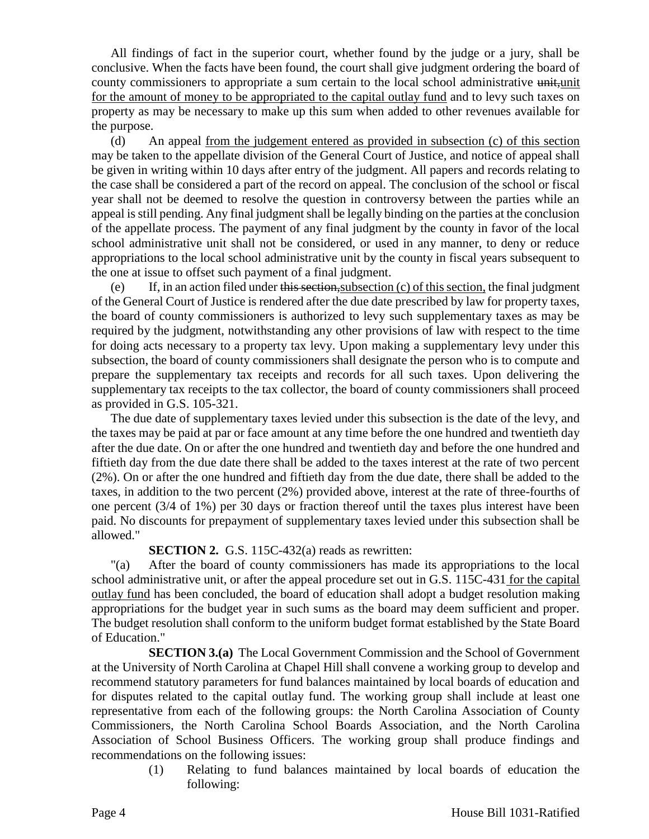All findings of fact in the superior court, whether found by the judge or a jury, shall be conclusive. When the facts have been found, the court shall give judgment ordering the board of county commissioners to appropriate a sum certain to the local school administrative unit, unit for the amount of money to be appropriated to the capital outlay fund and to levy such taxes on property as may be necessary to make up this sum when added to other revenues available for the purpose.

(d) An appeal from the judgement entered as provided in subsection (c) of this section may be taken to the appellate division of the General Court of Justice, and notice of appeal shall be given in writing within 10 days after entry of the judgment. All papers and records relating to the case shall be considered a part of the record on appeal. The conclusion of the school or fiscal year shall not be deemed to resolve the question in controversy between the parties while an appeal is still pending. Any final judgment shall be legally binding on the parties at the conclusion of the appellate process. The payment of any final judgment by the county in favor of the local school administrative unit shall not be considered, or used in any manner, to deny or reduce appropriations to the local school administrative unit by the county in fiscal years subsequent to the one at issue to offset such payment of a final judgment.

(e) If, in an action filed under this section, subsection (c) of this section, the final judgment of the General Court of Justice is rendered after the due date prescribed by law for property taxes, the board of county commissioners is authorized to levy such supplementary taxes as may be required by the judgment, notwithstanding any other provisions of law with respect to the time for doing acts necessary to a property tax levy. Upon making a supplementary levy under this subsection, the board of county commissioners shall designate the person who is to compute and prepare the supplementary tax receipts and records for all such taxes. Upon delivering the supplementary tax receipts to the tax collector, the board of county commissioners shall proceed as provided in G.S. 105-321.

The due date of supplementary taxes levied under this subsection is the date of the levy, and the taxes may be paid at par or face amount at any time before the one hundred and twentieth day after the due date. On or after the one hundred and twentieth day and before the one hundred and fiftieth day from the due date there shall be added to the taxes interest at the rate of two percent (2%). On or after the one hundred and fiftieth day from the due date, there shall be added to the taxes, in addition to the two percent (2%) provided above, interest at the rate of three-fourths of one percent (3/4 of 1%) per 30 days or fraction thereof until the taxes plus interest have been paid. No discounts for prepayment of supplementary taxes levied under this subsection shall be allowed."

## **SECTION 2.** G.S. 115C-432(a) reads as rewritten:

"(a) After the board of county commissioners has made its appropriations to the local school administrative unit, or after the appeal procedure set out in G.S. 115C-431 for the capital outlay fund has been concluded, the board of education shall adopt a budget resolution making appropriations for the budget year in such sums as the board may deem sufficient and proper. The budget resolution shall conform to the uniform budget format established by the State Board of Education."

**SECTION 3.(a)** The Local Government Commission and the School of Government at the University of North Carolina at Chapel Hill shall convene a working group to develop and recommend statutory parameters for fund balances maintained by local boards of education and for disputes related to the capital outlay fund. The working group shall include at least one representative from each of the following groups: the North Carolina Association of County Commissioners, the North Carolina School Boards Association, and the North Carolina Association of School Business Officers. The working group shall produce findings and recommendations on the following issues:

> (1) Relating to fund balances maintained by local boards of education the following: